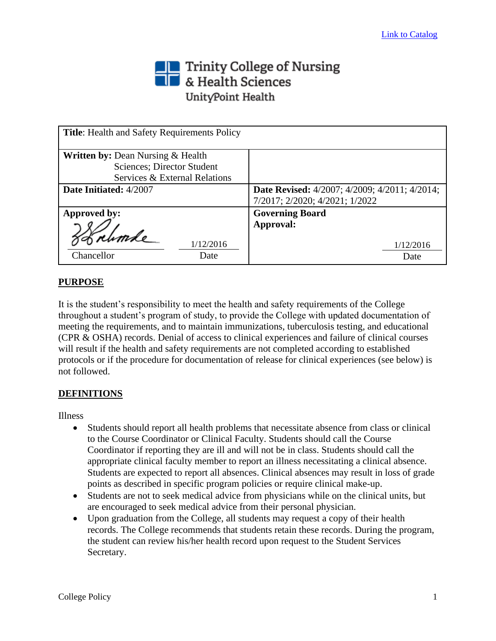# Trinity College of Nursing<br> **The State Sciences** UnityPoint Health

| <b>Title:</b> Health and Safety Requirements Policy                                |                                                                                        |
|------------------------------------------------------------------------------------|----------------------------------------------------------------------------------------|
| <b>Written by: Dean Nursing &amp; Health</b><br><b>Sciences</b> ; Director Student |                                                                                        |
| Services & External Relations                                                      |                                                                                        |
| Date Initiated: 4/2007                                                             | <b>Date Revised:</b> 4/2007; 4/2009; 4/2011; 4/2014;<br>7/2017; 2/2020; 4/2021; 1/2022 |
| Approved by:                                                                       | <b>Governing Board</b><br>Approval:                                                    |
| 1/12/2016<br>Chancellor<br>Date                                                    | 1/12/2016<br>Date                                                                      |

## **PURPOSE**

It is the student's responsibility to meet the health and safety requirements of the College throughout a student's program of study, to provide the College with updated documentation of meeting the requirements, and to maintain immunizations, tuberculosis testing, and educational (CPR & OSHA) records. Denial of access to clinical experiences and failure of clinical courses will result if the health and safety requirements are not completed according to established protocols or if the procedure for documentation of release for clinical experiences (see below) is not followed.

## **DEFINITIONS**

Illness

- Students should report all health problems that necessitate absence from class or clinical to the Course Coordinator or Clinical Faculty. Students should call the Course Coordinator if reporting they are ill and will not be in class. Students should call the appropriate clinical faculty member to report an illness necessitating a clinical absence. Students are expected to report all absences. Clinical absences may result in loss of grade points as described in specific program policies or require clinical make-up.
- Students are not to seek medical advice from physicians while on the clinical units, but are encouraged to seek medical advice from their personal physician.
- Upon graduation from the College, all students may request a copy of their health records. The College recommends that students retain these records. During the program, the student can review his/her health record upon request to the Student Services Secretary.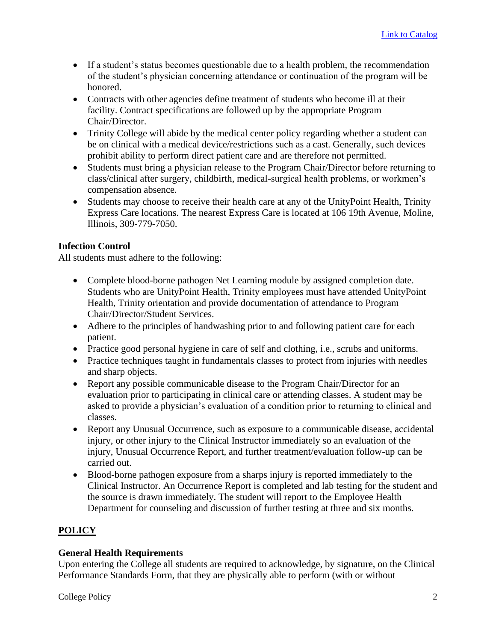- If a student's status becomes questionable due to a health problem, the recommendation of the student's physician concerning attendance or continuation of the program will be honored.
- Contracts with other agencies define treatment of students who become ill at their facility. Contract specifications are followed up by the appropriate Program Chair/Director.
- Trinity College will abide by the medical center policy regarding whether a student can be on clinical with a medical device/restrictions such as a cast. Generally, such devices prohibit ability to perform direct patient care and are therefore not permitted.
- Students must bring a physician release to the Program Chair/Director before returning to class/clinical after surgery, childbirth, medical-surgical health problems, or workmen's compensation absence.
- Students may choose to receive their health care at any of the UnityPoint Health, Trinity Express Care locations. The nearest Express Care is located at 106 19th Avenue, Moline, Illinois, 309-779-7050.

## **Infection Control**

All students must adhere to the following:

- Complete blood-borne pathogen Net Learning module by assigned completion date. Students who are UnityPoint Health, Trinity employees must have attended UnityPoint Health, Trinity orientation and provide documentation of attendance to Program Chair/Director/Student Services.
- Adhere to the principles of handwashing prior to and following patient care for each patient.
- Practice good personal hygiene in care of self and clothing, i.e., scrubs and uniforms.
- Practice techniques taught in fundamentals classes to protect from injuries with needles and sharp objects.
- Report any possible communicable disease to the Program Chair/Director for an evaluation prior to participating in clinical care or attending classes. A student may be asked to provide a physician's evaluation of a condition prior to returning to clinical and classes.
- Report any Unusual Occurrence, such as exposure to a communicable disease, accidental injury, or other injury to the Clinical Instructor immediately so an evaluation of the injury, Unusual Occurrence Report, and further treatment/evaluation follow-up can be carried out.
- Blood-borne pathogen exposure from a sharps injury is reported immediately to the Clinical Instructor. An Occurrence Report is completed and lab testing for the student and the source is drawn immediately. The student will report to the Employee Health Department for counseling and discussion of further testing at three and six months.

## **POLICY**

## **General Health Requirements**

Upon entering the College all students are required to acknowledge, by signature, on the Clinical Performance Standards Form, that they are physically able to perform (with or without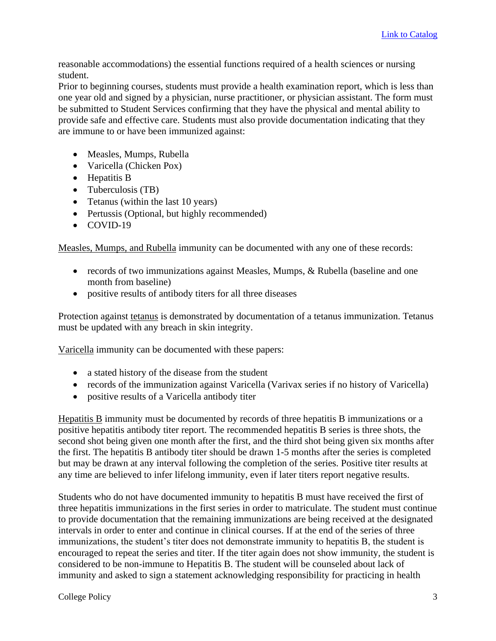reasonable accommodations) the essential functions required of a health sciences or nursing student.

Prior to beginning courses, students must provide a health examination report, which is less than one year old and signed by a physician, nurse practitioner, or physician assistant. The form must be submitted to Student Services confirming that they have the physical and mental ability to provide safe and effective care. Students must also provide documentation indicating that they are immune to or have been immunized against:

- Measles, Mumps, Rubella
- Varicella (Chicken Pox)
- Hepatitis B
- Tuberculosis (TB)
- Tetanus (within the last 10 years)
- Pertussis (Optional, but highly recommended)
- COVID-19

Measles, Mumps, and Rubella immunity can be documented with any one of these records:

- records of two immunizations against Measles, Mumps, & Rubella (baseline and one month from baseline)
- positive results of antibody titers for all three diseases

Protection against tetanus is demonstrated by documentation of a tetanus immunization. Tetanus must be updated with any breach in skin integrity.

Varicella immunity can be documented with these papers:

- a stated history of the disease from the student
- records of the immunization against Varicella (Varivax series if no history of Varicella)
- positive results of a Varicella antibody titer

Hepatitis B immunity must be documented by records of three hepatitis B immunizations or a positive hepatitis antibody titer report. The recommended hepatitis B series is three shots, the second shot being given one month after the first, and the third shot being given six months after the first. The hepatitis B antibody titer should be drawn 1-5 months after the series is completed but may be drawn at any interval following the completion of the series. Positive titer results at any time are believed to infer lifelong immunity, even if later titers report negative results.

Students who do not have documented immunity to hepatitis B must have received the first of three hepatitis immunizations in the first series in order to matriculate. The student must continue to provide documentation that the remaining immunizations are being received at the designated intervals in order to enter and continue in clinical courses. If at the end of the series of three immunizations, the student's titer does not demonstrate immunity to hepatitis B, the student is encouraged to repeat the series and titer. If the titer again does not show immunity, the student is considered to be non-immune to Hepatitis B. The student will be counseled about lack of immunity and asked to sign a statement acknowledging responsibility for practicing in health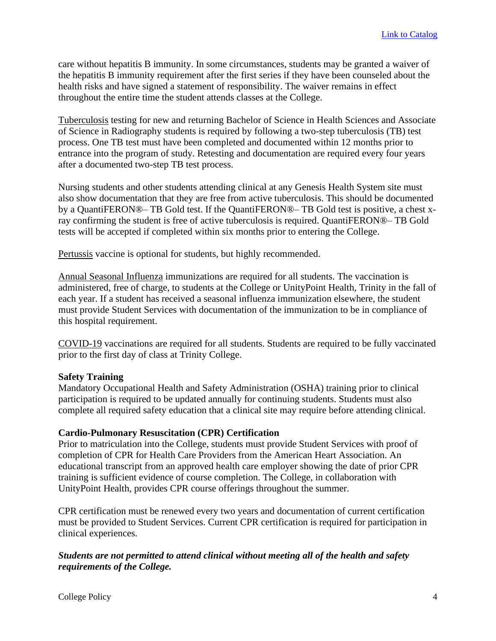care without hepatitis B immunity. In some circumstances, students may be granted a waiver of the hepatitis B immunity requirement after the first series if they have been counseled about the health risks and have signed a statement of responsibility. The waiver remains in effect throughout the entire time the student attends classes at the College.

Tuberculosis testing for new and returning Bachelor of Science in Health Sciences and Associate of Science in Radiography students is required by following a two-step tuberculosis (TB) test process. One TB test must have been completed and documented within 12 months prior to entrance into the program of study. Retesting and documentation are required every four years after a documented two-step TB test process.

Nursing students and other students attending clinical at any Genesis Health System site must also show documentation that they are free from active tuberculosis. This should be documented by a QuantiFERON®– TB Gold test. If the QuantiFERON®– TB Gold test is positive, a chest xray confirming the student is free of active tuberculosis is required. QuantiFERON®– TB Gold tests will be accepted if completed within six months prior to entering the College.

Pertussis vaccine is optional for students, but highly recommended.

Annual Seasonal Influenza immunizations are required for all students. The vaccination is administered, free of charge, to students at the College or UnityPoint Health, Trinity in the fall of each year. If a student has received a seasonal influenza immunization elsewhere, the student must provide Student Services with documentation of the immunization to be in compliance of this hospital requirement.

COVID-19 vaccinations are required for all students. Students are required to be fully vaccinated prior to the first day of class at Trinity College.

## **Safety Training**

Mandatory Occupational Health and Safety Administration (OSHA) training prior to clinical participation is required to be updated annually for continuing students. Students must also complete all required safety education that a clinical site may require before attending clinical.

#### **Cardio-Pulmonary Resuscitation (CPR) Certification**

Prior to matriculation into the College, students must provide Student Services with proof of completion of CPR for Health Care Providers from the American Heart Association. An educational transcript from an approved health care employer showing the date of prior CPR training is sufficient evidence of course completion. The College, in collaboration with UnityPoint Health, provides CPR course offerings throughout the summer.

CPR certification must be renewed every two years and documentation of current certification must be provided to Student Services. Current CPR certification is required for participation in clinical experiences.

*Students are not permitted to attend clinical without meeting all of the health and safety requirements of the College.*